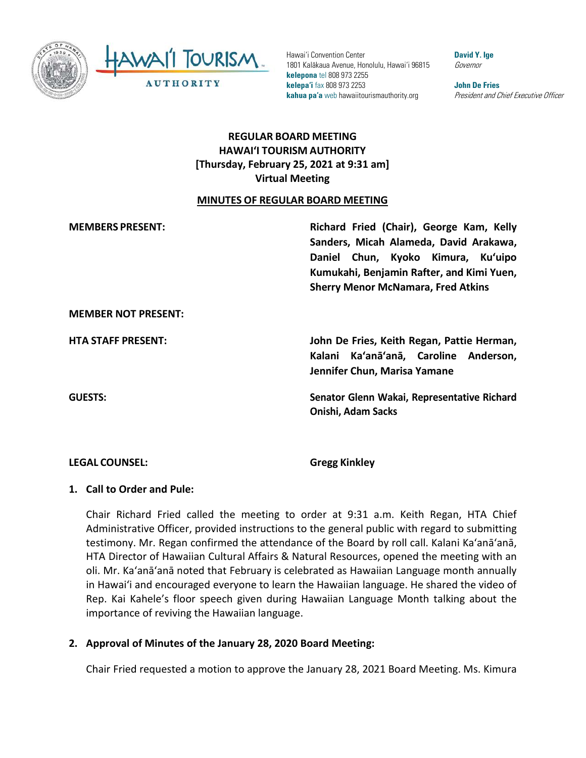



Hawai'i Convention Center 1801 Kalākaua Avenue, Honolulu, Hawai'i 96815 **kelepona** tel 808 973 2255 **kelepa'i** fax 808 973 2253 **kahua pa'a** web hawaiitourismauthority.org

**David Y. Ige** Governor

**John De Fries** President and Chief Executive Officer

# **REGULAR BOARD MEETING HAWAIʻI TOURISM AUTHORITY [Thursday, February 25, 2021 at 9:31 am] Virtual Meeting**

#### **MINUTES OF REGULAR BOARD MEETING**

| <b>MEMBERS PRESENT:</b>    | Richard Fried (Chair), George Kam, Kelly<br>Sanders, Micah Alameda, David Arakawa,<br>Daniel Chun, Kyoko Kimura, Ku'uipo<br>Kumukahi, Benjamin Rafter, and Kimi Yuen,<br><b>Sherry Menor McNamara, Fred Atkins</b> |
|----------------------------|--------------------------------------------------------------------------------------------------------------------------------------------------------------------------------------------------------------------|
| <b>MEMBER NOT PRESENT:</b> |                                                                                                                                                                                                                    |
| <b>HTA STAFF PRESENT:</b>  | John De Fries, Keith Regan, Pattie Herman,<br>Kalani Ka'anā'anā, Caroline Anderson,<br>Jennifer Chun, Marisa Yamane                                                                                                |
| <b>GUESTS:</b>             | Senator Glenn Wakai, Representative Richard<br><b>Onishi, Adam Sacks</b>                                                                                                                                           |

#### **LEGAL COUNSEL: Gregg Kinkley**

#### **1. Call to Order and Pule:**

Chair Richard Fried called the meeting to order at 9:31 a.m. Keith Regan, HTA Chief Administrative Officer, provided instructions to the general public with regard to submitting testimony. Mr. Regan confirmed the attendance of the Board by roll call. Kalani Ka'anā'anā, HTA Director of Hawaiian Cultural Affairs & Natural Resources, opened the meeting with an oli. Mr. Ka'anā'anā noted that February is celebrated as Hawaiian Language month annually in Hawaiʻi and encouraged everyone to learn the Hawaiian language. He shared the video of Rep. Kai Kahele's floor speech given during Hawaiian Language Month talking about the importance of reviving the Hawaiian language.

#### **2. Approval of Minutes of the January 28, 2020 Board Meeting:**

Chair Fried requested a motion to approve the January 28, 2021 Board Meeting. Ms. Kimura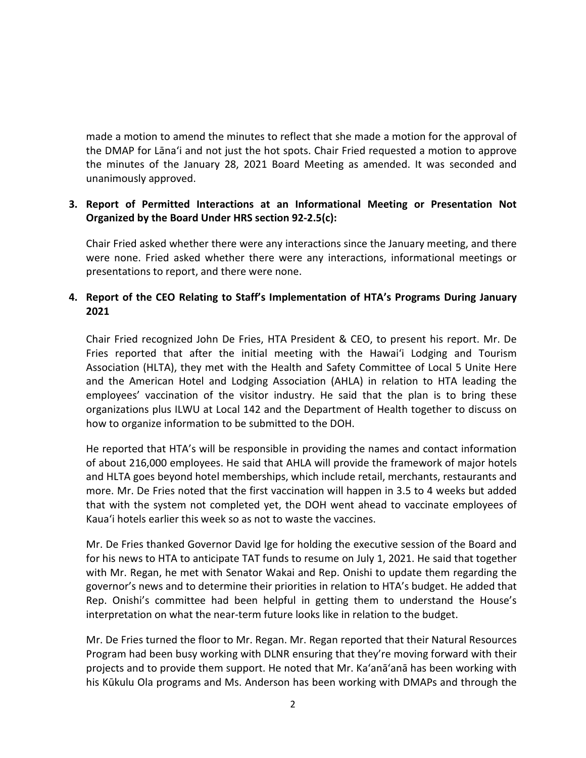made a motion to amend the minutes to reflect that she made a motion for the approval of the DMAP for Lāna'i and not just the hot spots. Chair Fried requested a motion to approve the minutes of the January 28, 2021 Board Meeting as amended. It was seconded and unanimously approved.

#### **3. Report of Permitted Interactions at an Informational Meeting or Presentation Not Organized by the Board Under HRS section 92-2.5(c):**

Chair Fried asked whether there were any interactions since the January meeting, and there were none. Fried asked whether there were any interactions, informational meetings or presentations to report, and there were none.

## **4. Report of the CEO Relating to Staff's Implementation of HTA's Programs During January 2021**

Chair Fried recognized John De Fries, HTA President & CEO, to present his report. Mr. De Fries reported that after the initial meeting with the Hawaiʻi Lodging and Tourism Association (HLTA), they met with the Health and Safety Committee of Local 5 Unite Here and the American Hotel and Lodging Association (AHLA) in relation to HTA leading the employees' vaccination of the visitor industry. He said that the plan is to bring these organizations plus ILWU at Local 142 and the Department of Health together to discuss on how to organize information to be submitted to the DOH.

He reported that HTA's will be responsible in providing the names and contact information of about 216,000 employees. He said that AHLA will provide the framework of major hotels and HLTA goes beyond hotel memberships, which include retail, merchants, restaurants and more. Mr. De Fries noted that the first vaccination will happen in 3.5 to 4 weeks but added that with the system not completed yet, the DOH went ahead to vaccinate employees of Kaua'i hotels earlier this week so as not to waste the vaccines.

Mr. De Fries thanked Governor David Ige for holding the executive session of the Board and for his news to HTA to anticipate TAT funds to resume on July 1, 2021. He said that together with Mr. Regan, he met with Senator Wakai and Rep. Onishi to update them regarding the governor's news and to determine their priorities in relation to HTA's budget. He added that Rep. Onishi's committee had been helpful in getting them to understand the House's interpretation on what the near-term future looks like in relation to the budget.

Mr. De Fries turned the floor to Mr. Regan. Mr. Regan reported that their Natural Resources Program had been busy working with DLNR ensuring that they're moving forward with their projects and to provide them support. He noted that Mr. Ka'anā'anā has been working with his Kūkulu Ola programs and Ms. Anderson has been working with DMAPs and through the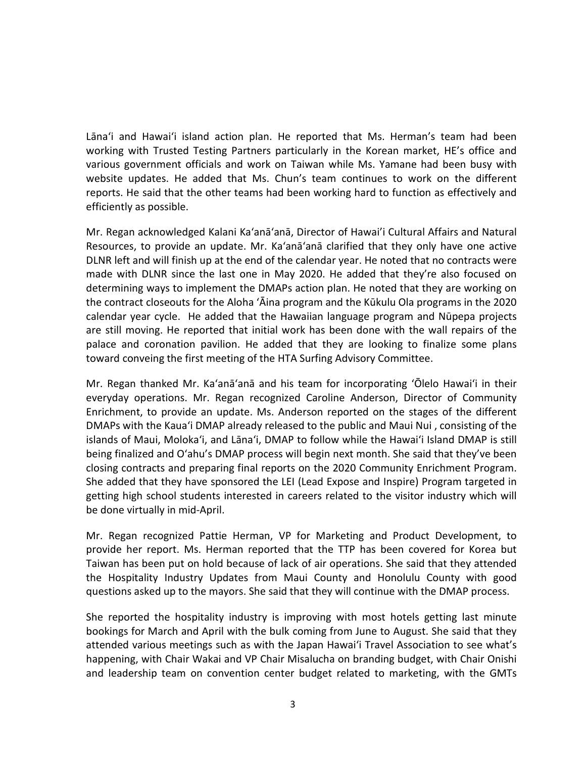Lānaʻi and Hawaiʻi island action plan. He reported that Ms. Herman's team had been working with Trusted Testing Partners particularly in the Korean market, HE's office and various government officials and work on Taiwan while Ms. Yamane had been busy with website updates. He added that Ms. Chun's team continues to work on the different reports. He said that the other teams had been working hard to function as effectively and efficiently as possible.

Mr. Regan acknowledged Kalani Ka'anā'anā, Director of Hawai'i Cultural Affairs and Natural Resources, to provide an update. Mr. Ka'anā'anā clarified that they only have one active DLNR left and will finish up at the end of the calendar year. He noted that no contracts were made with DLNR since the last one in May 2020. He added that they're also focused on determining ways to implement the DMAPs action plan. He noted that they are working on the contract closeouts for the Aloha ʻĀina program and the Kūkulu Ola programs in the 2020 calendar year cycle. He added that the Hawaiian language program and Nūpepa projects are still moving. He reported that initial work has been done with the wall repairs of the palace and coronation pavilion. He added that they are looking to finalize some plans toward conveing the first meeting of the HTA Surfing Advisory Committee.

Mr. Regan thanked Mr. Ka'anā'anā and his team for incorporating ʻŌlelo Hawaiʻi in their everyday operations. Mr. Regan recognized Caroline Anderson, Director of Community Enrichment, to provide an update. Ms. Anderson reported on the stages of the different DMAPs with the Kauaʻi DMAP already released to the public and Maui Nui , consisting of the islands of Maui, Moloka'i, and Lāna'i, DMAP to follow while the Hawaiʻi Island DMAP is still being finalized and Oʻahu's DMAP process will begin next month. She said that they've been closing contracts and preparing final reports on the 2020 Community Enrichment Program. She added that they have sponsored the LEI (Lead Expose and Inspire) Program targeted in getting high school students interested in careers related to the visitor industry which will be done virtually in mid-April.

Mr. Regan recognized Pattie Herman, VP for Marketing and Product Development, to provide her report. Ms. Herman reported that the TTP has been covered for Korea but Taiwan has been put on hold because of lack of air operations. She said that they attended the Hospitality Industry Updates from Maui County and Honolulu County with good questions asked up to the mayors. She said that they will continue with the DMAP process.

She reported the hospitality industry is improving with most hotels getting last minute bookings for March and April with the bulk coming from June to August. She said that they attended various meetings such as with the Japan Hawaiʻi Travel Association to see what's happening, with Chair Wakai and VP Chair Misalucha on branding budget, with Chair Onishi and leadership team on convention center budget related to marketing, with the GMTs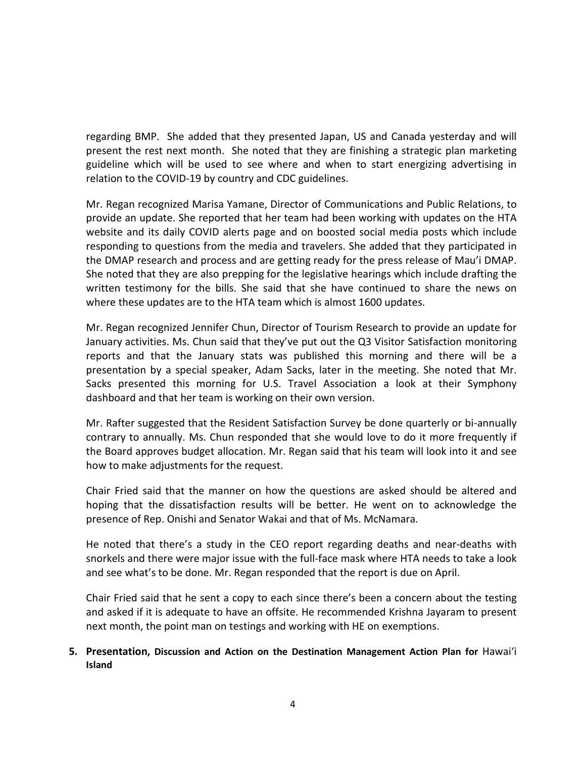regarding BMP. She added that they presented Japan, US and Canada yesterday and will present the rest next month. She noted that they are finishing a strategic plan marketing guideline which will be used to see where and when to start energizing advertising in relation to the COVID-19 by country and CDC guidelines.

Mr. Regan recognized Marisa Yamane, Director of Communications and Public Relations, to provide an update. She reported that her team had been working with updates on the HTA website and its daily COVID alerts page and on boosted social media posts which include responding to questions from the media and travelers. She added that they participated in the DMAP research and process and are getting ready for the press release of Mau'i DMAP. She noted that they are also prepping for the legislative hearings which include drafting the written testimony for the bills. She said that she have continued to share the news on where these updates are to the HTA team which is almost 1600 updates.

Mr. Regan recognized Jennifer Chun, Director of Tourism Research to provide an update for January activities. Ms. Chun said that they've put out the Q3 Visitor Satisfaction monitoring reports and that the January stats was published this morning and there will be a presentation by a special speaker, Adam Sacks, later in the meeting. She noted that Mr. Sacks presented this morning for U.S. Travel Association a look at their Symphony dashboard and that her team is working on their own version.

Mr. Rafter suggested that the Resident Satisfaction Survey be done quarterly or bi-annually contrary to annually. Ms. Chun responded that she would love to do it more frequently if the Board approves budget allocation. Mr. Regan said that his team will look into it and see how to make adjustments for the request.

Chair Fried said that the manner on how the questions are asked should be altered and hoping that the dissatisfaction results will be better. He went on to acknowledge the presence of Rep. Onishi and Senator Wakai and that of Ms. McNamara.

He noted that there's a study in the CEO report regarding deaths and near-deaths with snorkels and there were major issue with the full-face mask where HTA needs to take a look and see what's to be done. Mr. Regan responded that the report is due on April.

Chair Fried said that he sent a copy to each since there's been a concern about the testing and asked if it is adequate to have an offsite. He recommended Krishna Jayaram to present next month, the point man on testings and working with HE on exemptions.

#### **5. Presentation, Discussion and Action on the Destination Management Action Plan for** Hawaiʻi **Island**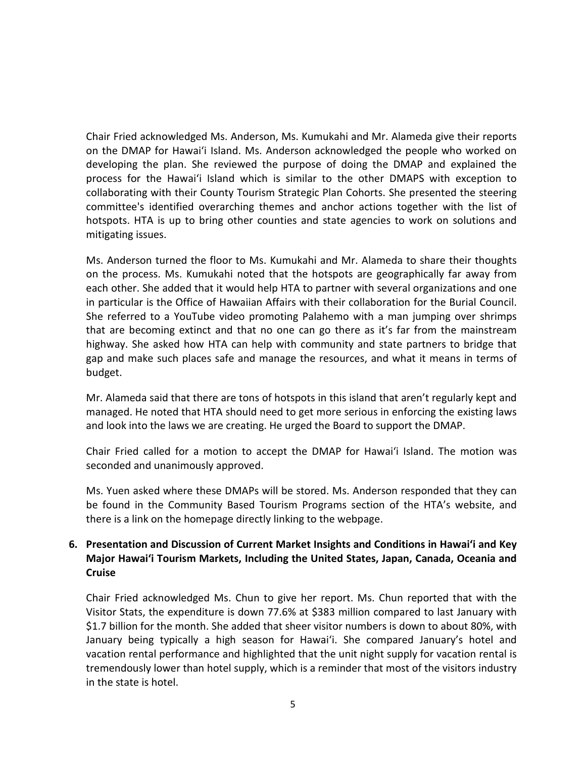Chair Fried acknowledged Ms. Anderson, Ms. Kumukahi and Mr. Alameda give their reports on the DMAP for Hawaiʻi Island. Ms. Anderson acknowledged the people who worked on developing the plan. She reviewed the purpose of doing the DMAP and explained the process for the Hawaiʻi Island which is similar to the other DMAPS with exception to collaborating with their County Tourism Strategic Plan Cohorts. She presented the steering committee's identified overarching themes and anchor actions together with the list of hotspots. HTA is up to bring other counties and state agencies to work on solutions and mitigating issues.

Ms. Anderson turned the floor to Ms. Kumukahi and Mr. Alameda to share their thoughts on the process. Ms. Kumukahi noted that the hotspots are geographically far away from each other. She added that it would help HTA to partner with several organizations and one in particular is the Office of Hawaiian Affairs with their collaboration for the Burial Council. She referred to a YouTube video promoting Palahemo with a man jumping over shrimps that are becoming extinct and that no one can go there as it's far from the mainstream highway. She asked how HTA can help with community and state partners to bridge that gap and make such places safe and manage the resources, and what it means in terms of budget.

Mr. Alameda said that there are tons of hotspots in this island that aren't regularly kept and managed. He noted that HTA should need to get more serious in enforcing the existing laws and look into the laws we are creating. He urged the Board to support the DMAP.

Chair Fried called for a motion to accept the DMAP for Hawaiʻi Island. The motion was seconded and unanimously approved.

Ms. Yuen asked where these DMAPs will be stored. Ms. Anderson responded that they can be found in the Community Based Tourism Programs section of the HTA's website, and there is a link on the homepage directly linking to the webpage.

### **6. Presentation and Discussion of Current Market Insights and Conditions in Hawaiʻi and Key Major Hawaiʻi Tourism Markets, Including the United States, Japan, Canada, Oceania and Cruise**

Chair Fried acknowledged Ms. Chun to give her report. Ms. Chun reported that with the Visitor Stats, the expenditure is down 77.6% at \$383 million compared to last January with \$1.7 billion for the month. She added that sheer visitor numbers is down to about 80%, with January being typically a high season for Hawaiʻi. She compared January's hotel and vacation rental performance and highlighted that the unit night supply for vacation rental is tremendously lower than hotel supply, which is a reminder that most of the visitors industry in the state is hotel.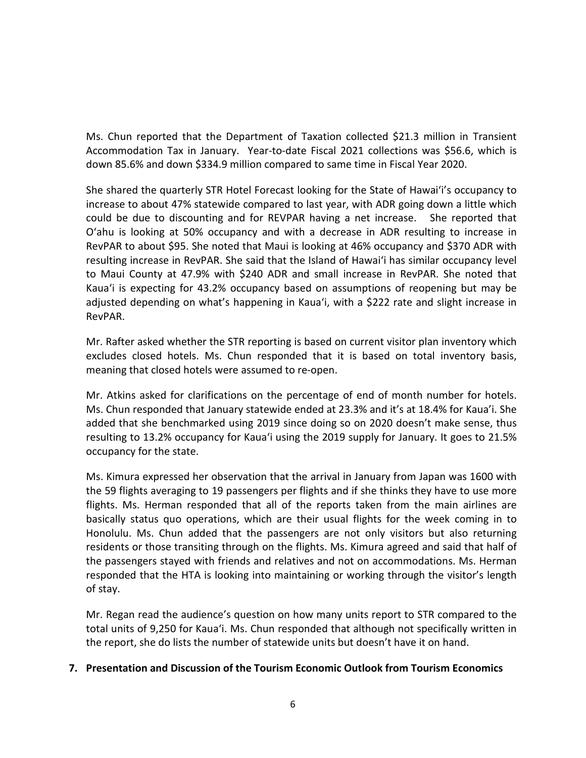Ms. Chun reported that the Department of Taxation collected \$21.3 million in Transient Accommodation Tax in January. Year-to-date Fiscal 2021 collections was \$56.6, which is down 85.6% and down \$334.9 million compared to same time in Fiscal Year 2020.

She shared the quarterly STR Hotel Forecast looking for the State of Hawaiʻi's occupancy to increase to about 47% statewide compared to last year, with ADR going down a little which could be due to discounting and for REVPAR having a net increase. She reported that Oʻahu is looking at 50% occupancy and with a decrease in ADR resulting to increase in RevPAR to about \$95. She noted that Maui is looking at 46% occupancy and \$370 ADR with resulting increase in RevPAR. She said that the Island of Hawaiʻi has similar occupancy level to Maui County at 47.9% with \$240 ADR and small increase in RevPAR. She noted that Kauaʻi is expecting for 43.2% occupancy based on assumptions of reopening but may be adjusted depending on what's happening in Kauaʻi, with a \$222 rate and slight increase in RevPAR.

Mr. Rafter asked whether the STR reporting is based on current visitor plan inventory which excludes closed hotels. Ms. Chun responded that it is based on total inventory basis, meaning that closed hotels were assumed to re-open.

Mr. Atkins asked for clarifications on the percentage of end of month number for hotels. Ms. Chun responded that January statewide ended at 23.3% and it's at 18.4% for Kaua'i. She added that she benchmarked using 2019 since doing so on 2020 doesn't make sense, thus resulting to 13.2% occupancy for Kauaʻi using the 2019 supply for January. It goes to 21.5% occupancy for the state.

Ms. Kimura expressed her observation that the arrival in January from Japan was 1600 with the 59 flights averaging to 19 passengers per flights and if she thinks they have to use more flights. Ms. Herman responded that all of the reports taken from the main airlines are basically status quo operations, which are their usual flights for the week coming in to Honolulu. Ms. Chun added that the passengers are not only visitors but also returning residents or those transiting through on the flights. Ms. Kimura agreed and said that half of the passengers stayed with friends and relatives and not on accommodations. Ms. Herman responded that the HTA is looking into maintaining or working through the visitor's length of stay.

Mr. Regan read the audience's question on how many units report to STR compared to the total units of 9,250 for Kauaʻi. Ms. Chun responded that although not specifically written in the report, she do lists the number of statewide units but doesn't have it on hand.

#### **7. Presentation and Discussion of the Tourism Economic Outlook from Tourism Economics**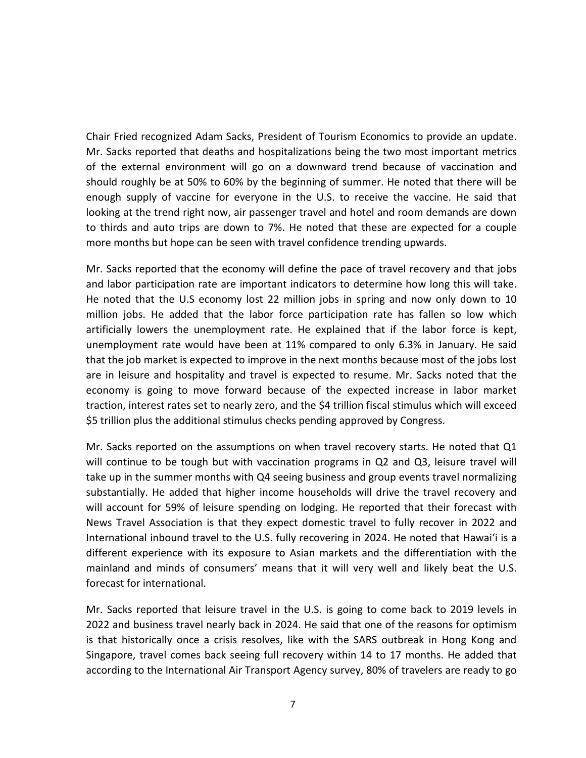Chair Fried recognized Adam Sacks, President of Tourism Economics to provide an update. Mr. Sacks reported that deaths and hospitalizations being the two most important metrics of the external environment will go on a downward trend because of vaccination and should roughly be at 50% to 60% by the beginning of summer. He noted that there will be enough supply of vaccine for everyone in the U.S. to receive the vaccine. He said that looking at the trend right now, air passenger travel and hotel and room demands are down to thirds and auto trips are down to 7%. He noted that these are expected for a couple more months but hope can be seen with travel confidence trending upwards.

Mr. Sacks reported that the economy will define the pace of travel recovery and that jobs and labor participation rate are important indicators to determine how long this will take. He noted that the U.S economy lost 22 million jobs in spring and now only down to 10 million jobs. He added that the labor force participation rate has fallen so low which artificially lowers the unemployment rate. He explained that if the labor force is kept, unemployment rate would have been at 11% compared to only 6.3% in January. He said that the job market is expected to improve in the next months because most of the jobs lost are in leisure and hospitality and travel is expected to resume. Mr. Sacks noted that the economy is going to move forward because of the expected increase in labor market traction, interest rates set to nearly zero, and the \$4 trillion fiscal stimulus which will exceed \$5 trillion plus the additional stimulus checks pending approved by Congress.

Mr. Sacks reported on the assumptions on when travel recovery starts. He noted that Q1 will continue to be tough but with vaccination programs in Q2 and Q3, leisure travel will take up in the summer months with Q4 seeing business and group events travel normalizing substantially. He added that higher income households will drive the travel recovery and will account for 59% of leisure spending on lodging. He reported that their forecast with News Travel Association is that they expect domestic travel to fully recover in 2022 and International inbound travel to the U.S. fully recovering in 2024. He noted that Hawaiʻi is a different experience with its exposure to Asian markets and the differentiation with the mainland and minds of consumers' means that it will very well and likely beat the U.S. forecast for international.

Mr. Sacks reported that leisure travel in the U.S. is going to come back to 2019 levels in 2022 and business travel nearly back in 2024. He said that one of the reasons for optimism is that historically once a crisis resolves, like with the SARS outbreak in Hong Kong and Singapore, travel comes back seeing full recovery within 14 to 17 months. He added that according to the International Air Transport Agency survey, 80% of travelers are ready to go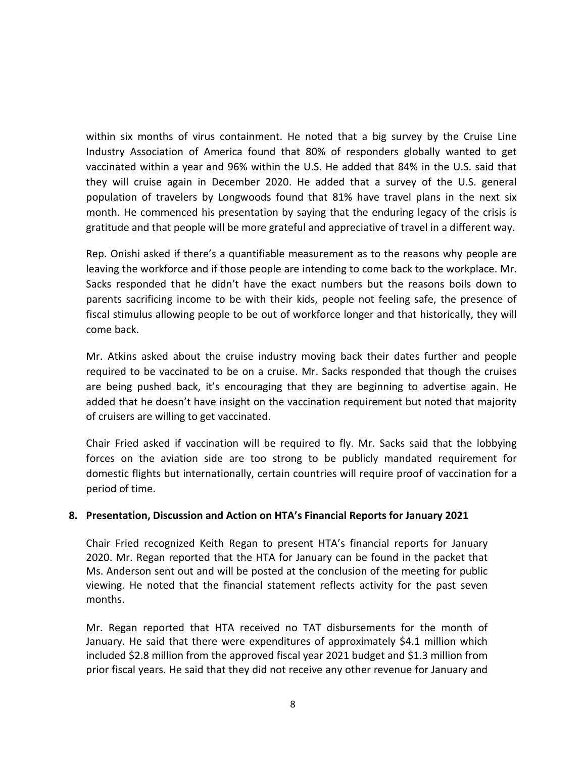within six months of virus containment. He noted that a big survey by the Cruise Line Industry Association of America found that 80% of responders globally wanted to get vaccinated within a year and 96% within the U.S. He added that 84% in the U.S. said that they will cruise again in December 2020. He added that a survey of the U.S. general population of travelers by Longwoods found that 81% have travel plans in the next six month. He commenced his presentation by saying that the enduring legacy of the crisis is gratitude and that people will be more grateful and appreciative of travel in a different way.

Rep. Onishi asked if there's a quantifiable measurement as to the reasons why people are leaving the workforce and if those people are intending to come back to the workplace. Mr. Sacks responded that he didn't have the exact numbers but the reasons boils down to parents sacrificing income to be with their kids, people not feeling safe, the presence of fiscal stimulus allowing people to be out of workforce longer and that historically, they will come back.

Mr. Atkins asked about the cruise industry moving back their dates further and people required to be vaccinated to be on a cruise. Mr. Sacks responded that though the cruises are being pushed back, it's encouraging that they are beginning to advertise again. He added that he doesn't have insight on the vaccination requirement but noted that majority of cruisers are willing to get vaccinated.

Chair Fried asked if vaccination will be required to fly. Mr. Sacks said that the lobbying forces on the aviation side are too strong to be publicly mandated requirement for domestic flights but internationally, certain countries will require proof of vaccination for a period of time.

#### **8. Presentation, Discussion and Action on HTA's Financial Reports for January 2021**

Chair Fried recognized Keith Regan to present HTA's financial reports for January 2020. Mr. Regan reported that the HTA for January can be found in the packet that Ms. Anderson sent out and will be posted at the conclusion of the meeting for public viewing. He noted that the financial statement reflects activity for the past seven months.

Mr. Regan reported that HTA received no TAT disbursements for the month of January. He said that there were expenditures of approximately \$4.1 million which included \$2.8 million from the approved fiscal year 2021 budget and \$1.3 million from prior fiscal years. He said that they did not receive any other revenue for January and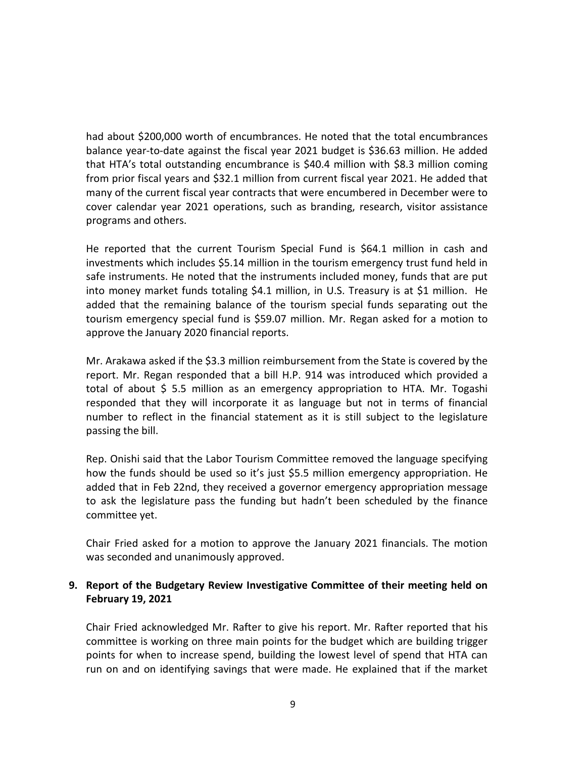had about \$200,000 worth of encumbrances. He noted that the total encumbrances balance year-to-date against the fiscal year 2021 budget is \$36.63 million. He added that HTA's total outstanding encumbrance is \$40.4 million with \$8.3 million coming from prior fiscal years and \$32.1 million from current fiscal year 2021. He added that many of the current fiscal year contracts that were encumbered in December were to cover calendar year 2021 operations, such as branding, research, visitor assistance programs and others.

He reported that the current Tourism Special Fund is \$64.1 million in cash and investments which includes \$5.14 million in the tourism emergency trust fund held in safe instruments. He noted that the instruments included money, funds that are put into money market funds totaling \$4.1 million, in U.S. Treasury is at \$1 million. He added that the remaining balance of the tourism special funds separating out the tourism emergency special fund is \$59.07 million. Mr. Regan asked for a motion to approve the January 2020 financial reports.

Mr. Arakawa asked if the \$3.3 million reimbursement from the State is covered by the report. Mr. Regan responded that a bill H.P. 914 was introduced which provided a total of about \$ 5.5 million as an emergency appropriation to HTA. Mr. Togashi responded that they will incorporate it as language but not in terms of financial number to reflect in the financial statement as it is still subject to the legislature passing the bill.

Rep. Onishi said that the Labor Tourism Committee removed the language specifying how the funds should be used so it's just \$5.5 million emergency appropriation. He added that in Feb 22nd, they received a governor emergency appropriation message to ask the legislature pass the funding but hadn't been scheduled by the finance committee yet.

Chair Fried asked for a motion to approve the January 2021 financials. The motion was seconded and unanimously approved.

### **9. Report of the Budgetary Review Investigative Committee of their meeting held on February 19, 2021**

Chair Fried acknowledged Mr. Rafter to give his report. Mr. Rafter reported that his committee is working on three main points for the budget which are building trigger points for when to increase spend, building the lowest level of spend that HTA can run on and on identifying savings that were made. He explained that if the market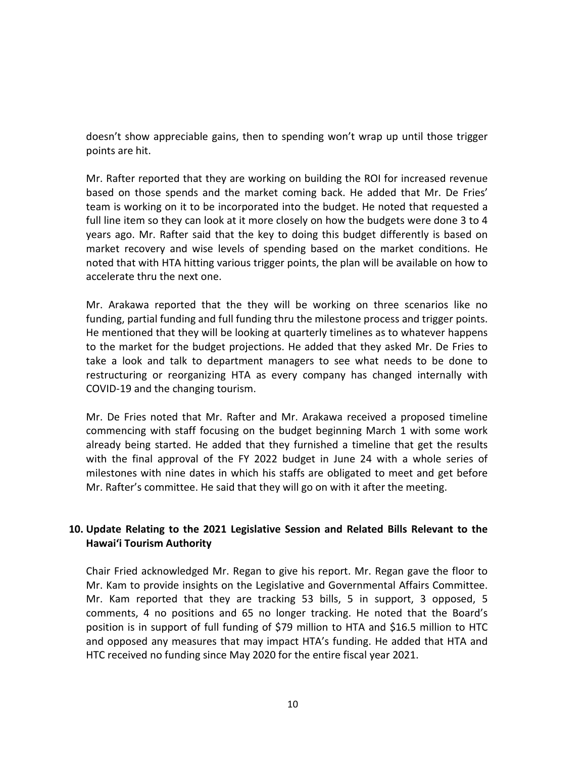doesn't show appreciable gains, then to spending won't wrap up until those trigger points are hit.

Mr. Rafter reported that they are working on building the ROI for increased revenue based on those spends and the market coming back. He added that Mr. De Fries' team is working on it to be incorporated into the budget. He noted that requested a full line item so they can look at it more closely on how the budgets were done 3 to 4 years ago. Mr. Rafter said that the key to doing this budget differently is based on market recovery and wise levels of spending based on the market conditions. He noted that with HTA hitting various trigger points, the plan will be available on how to accelerate thru the next one.

Mr. Arakawa reported that the they will be working on three scenarios like no funding, partial funding and full funding thru the milestone process and trigger points. He mentioned that they will be looking at quarterly timelines as to whatever happens to the market for the budget projections. He added that they asked Mr. De Fries to take a look and talk to department managers to see what needs to be done to restructuring or reorganizing HTA as every company has changed internally with COVID-19 and the changing tourism.

Mr. De Fries noted that Mr. Rafter and Mr. Arakawa received a proposed timeline commencing with staff focusing on the budget beginning March 1 with some work already being started. He added that they furnished a timeline that get the results with the final approval of the FY 2022 budget in June 24 with a whole series of milestones with nine dates in which his staffs are obligated to meet and get before Mr. Rafter's committee. He said that they will go on with it after the meeting.

## **10. Update Relating to the 2021 Legislative Session and Related Bills Relevant to the Hawaiʻi Tourism Authority**

Chair Fried acknowledged Mr. Regan to give his report. Mr. Regan gave the floor to Mr. Kam to provide insights on the Legislative and Governmental Affairs Committee. Mr. Kam reported that they are tracking 53 bills, 5 in support, 3 opposed, 5 comments, 4 no positions and 65 no longer tracking. He noted that the Board's position is in support of full funding of \$79 million to HTA and \$16.5 million to HTC and opposed any measures that may impact HTA's funding. He added that HTA and HTC received no funding since May 2020 for the entire fiscal year 2021.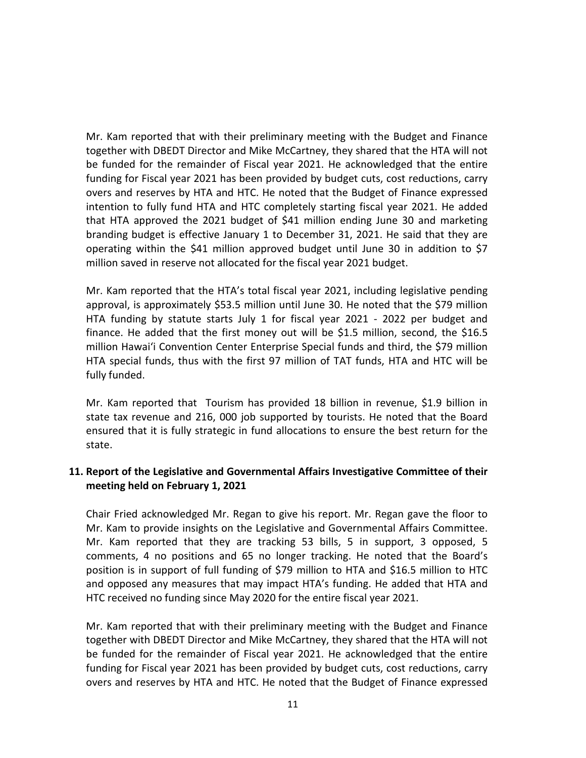Mr. Kam reported that with their preliminary meeting with the Budget and Finance together with DBEDT Director and Mike McCartney, they shared that the HTA will not be funded for the remainder of Fiscal year 2021. He acknowledged that the entire funding for Fiscal year 2021 has been provided by budget cuts, cost reductions, carry overs and reserves by HTA and HTC. He noted that the Budget of Finance expressed intention to fully fund HTA and HTC completely starting fiscal year 2021. He added that HTA approved the 2021 budget of \$41 million ending June 30 and marketing branding budget is effective January 1 to December 31, 2021. He said that they are operating within the \$41 million approved budget until June 30 in addition to \$7 million saved in reserve not allocated for the fiscal year 2021 budget.

Mr. Kam reported that the HTA's total fiscal year 2021, including legislative pending approval, is approximately \$53.5 million until June 30. He noted that the \$79 million HTA funding by statute starts July 1 for fiscal year 2021 - 2022 per budget and finance. He added that the first money out will be \$1.5 million, second, the \$16.5 million Hawaiʻi Convention Center Enterprise Special funds and third, the \$79 million HTA special funds, thus with the first 97 million of TAT funds, HTA and HTC will be fully funded.

Mr. Kam reported that Tourism has provided 18 billion in revenue, \$1.9 billion in state tax revenue and 216, 000 job supported by tourists. He noted that the Board ensured that it is fully strategic in fund allocations to ensure the best return for the state.

### **11. Report of the Legislative and Governmental Affairs Investigative Committee of their meeting held on February 1, 2021**

Chair Fried acknowledged Mr. Regan to give his report. Mr. Regan gave the floor to Mr. Kam to provide insights on the Legislative and Governmental Affairs Committee. Mr. Kam reported that they are tracking 53 bills, 5 in support, 3 opposed, 5 comments, 4 no positions and 65 no longer tracking. He noted that the Board's position is in support of full funding of \$79 million to HTA and \$16.5 million to HTC and opposed any measures that may impact HTA's funding. He added that HTA and HTC received no funding since May 2020 for the entire fiscal year 2021.

Mr. Kam reported that with their preliminary meeting with the Budget and Finance together with DBEDT Director and Mike McCartney, they shared that the HTA will not be funded for the remainder of Fiscal year 2021. He acknowledged that the entire funding for Fiscal year 2021 has been provided by budget cuts, cost reductions, carry overs and reserves by HTA and HTC. He noted that the Budget of Finance expressed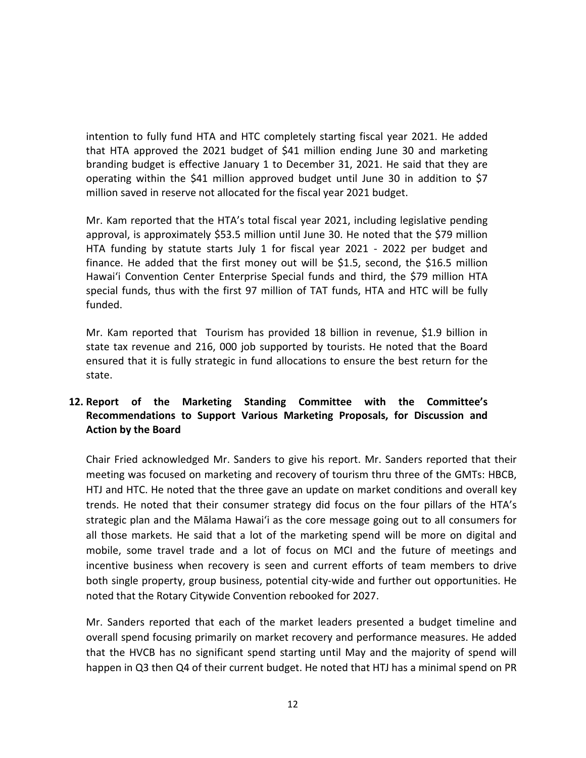intention to fully fund HTA and HTC completely starting fiscal year 2021. He added that HTA approved the 2021 budget of \$41 million ending June 30 and marketing branding budget is effective January 1 to December 31, 2021. He said that they are operating within the \$41 million approved budget until June 30 in addition to \$7 million saved in reserve not allocated for the fiscal year 2021 budget.

Mr. Kam reported that the HTA's total fiscal year 2021, including legislative pending approval, is approximately \$53.5 million until June 30. He noted that the \$79 million HTA funding by statute starts July 1 for fiscal year 2021 - 2022 per budget and finance. He added that the first money out will be \$1.5, second, the \$16.5 million Hawaiʻi Convention Center Enterprise Special funds and third, the \$79 million HTA special funds, thus with the first 97 million of TAT funds, HTA and HTC will be fully funded.

Mr. Kam reported that Tourism has provided 18 billion in revenue, \$1.9 billion in state tax revenue and 216, 000 job supported by tourists. He noted that the Board ensured that it is fully strategic in fund allocations to ensure the best return for the state.

## **12. Report of the Marketing Standing Committee with the Committee's Recommendations to Support Various Marketing Proposals, for Discussion and Action by the Board**

Chair Fried acknowledged Mr. Sanders to give his report. Mr. Sanders reported that their meeting was focused on marketing and recovery of tourism thru three of the GMTs: HBCB, HTJ and HTC. He noted that the three gave an update on market conditions and overall key trends. He noted that their consumer strategy did focus on the four pillars of the HTA's strategic plan and the Mālama Hawaiʻi as the core message going out to all consumers for all those markets. He said that a lot of the marketing spend will be more on digital and mobile, some travel trade and a lot of focus on MCI and the future of meetings and incentive business when recovery is seen and current efforts of team members to drive both single property, group business, potential city-wide and further out opportunities. He noted that the Rotary Citywide Convention rebooked for 2027.

Mr. Sanders reported that each of the market leaders presented a budget timeline and overall spend focusing primarily on market recovery and performance measures. He added that the HVCB has no significant spend starting until May and the majority of spend will happen in Q3 then Q4 of their current budget. He noted that HTJ has a minimal spend on PR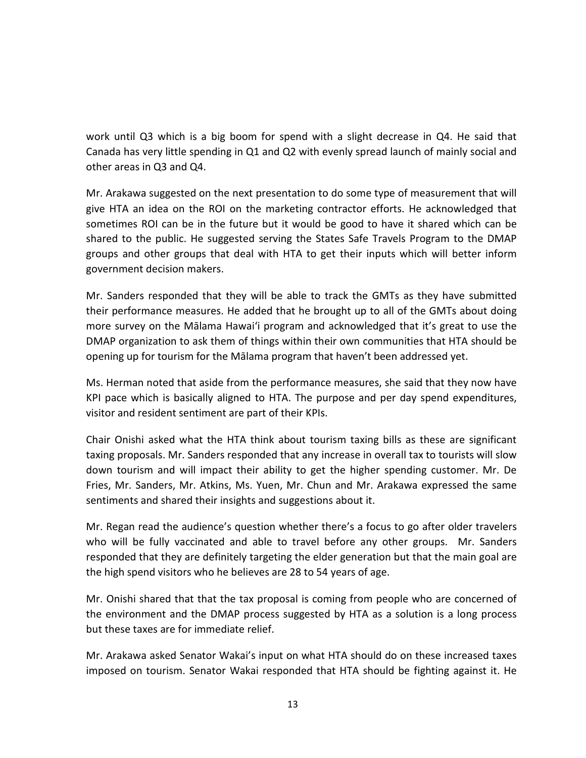work until Q3 which is a big boom for spend with a slight decrease in Q4. He said that Canada has very little spending in Q1 and Q2 with evenly spread launch of mainly social and other areas in Q3 and Q4.

Mr. Arakawa suggested on the next presentation to do some type of measurement that will give HTA an idea on the ROI on the marketing contractor efforts. He acknowledged that sometimes ROI can be in the future but it would be good to have it shared which can be shared to the public. He suggested serving the States Safe Travels Program to the DMAP groups and other groups that deal with HTA to get their inputs which will better inform government decision makers.

Mr. Sanders responded that they will be able to track the GMTs as they have submitted their performance measures. He added that he brought up to all of the GMTs about doing more survey on the Mālama Hawaiʻi program and acknowledged that it's great to use the DMAP organization to ask them of things within their own communities that HTA should be opening up for tourism for the Mālama program that haven't been addressed yet.

Ms. Herman noted that aside from the performance measures, she said that they now have KPI pace which is basically aligned to HTA. The purpose and per day spend expenditures, visitor and resident sentiment are part of their KPIs.

Chair Onishi asked what the HTA think about tourism taxing bills as these are significant taxing proposals. Mr. Sanders responded that any increase in overall tax to tourists will slow down tourism and will impact their ability to get the higher spending customer. Mr. De Fries, Mr. Sanders, Mr. Atkins, Ms. Yuen, Mr. Chun and Mr. Arakawa expressed the same sentiments and shared their insights and suggestions about it.

Mr. Regan read the audience's question whether there's a focus to go after older travelers who will be fully vaccinated and able to travel before any other groups. Mr. Sanders responded that they are definitely targeting the elder generation but that the main goal are the high spend visitors who he believes are 28 to 54 years of age.

Mr. Onishi shared that that the tax proposal is coming from people who are concerned of the environment and the DMAP process suggested by HTA as a solution is a long process but these taxes are for immediate relief.

Mr. Arakawa asked Senator Wakai's input on what HTA should do on these increased taxes imposed on tourism. Senator Wakai responded that HTA should be fighting against it. He